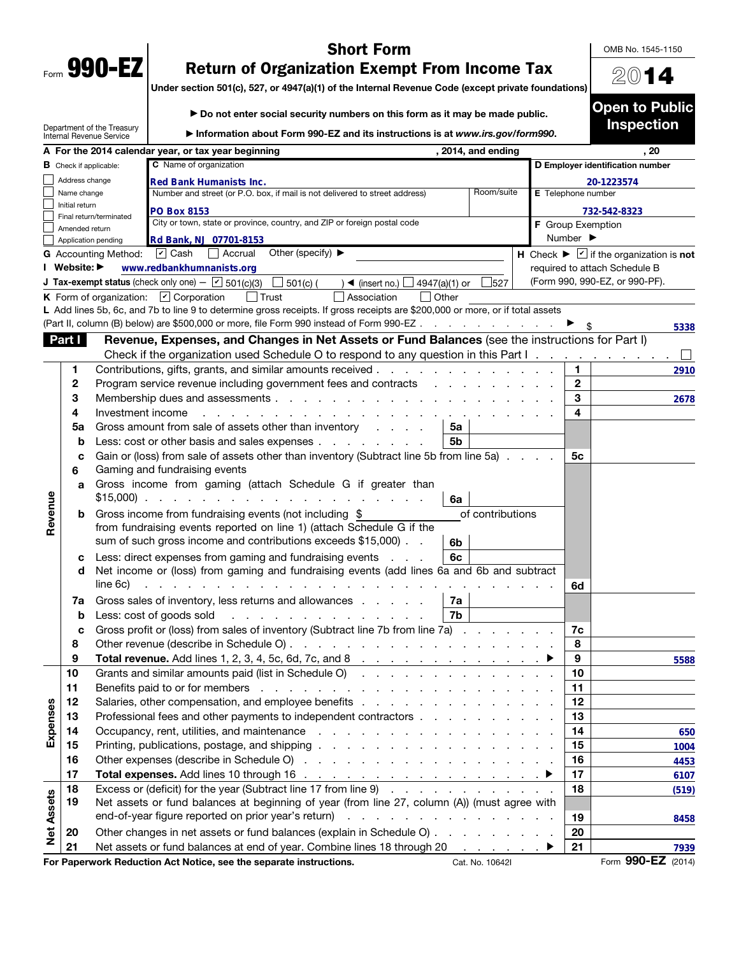|      | 990- |  |
|------|------|--|
| Form | ш.   |  |

## Short Form

OMB No. 1545-1150

2014

Open to Public Inspection

## Return of Organization Exempt From Income Tax

Under section 501(c), 527, or 4947(a)(1) of the Internal Revenue Code (except private foundations)

| ▶ Do not enter social security numbers on this form as it may be made public. |  |
|-------------------------------------------------------------------------------|--|
|                                                                               |  |

|                   |                | Department of the Treasury<br>Internal Revenue Service | Information about Form 990-EZ and its instructions is at www.irs.gov/form990.                                                                                                                                                  |            |                          | mspecuon                                                                    |
|-------------------|----------------|--------------------------------------------------------|--------------------------------------------------------------------------------------------------------------------------------------------------------------------------------------------------------------------------------|------------|--------------------------|-----------------------------------------------------------------------------|
|                   |                |                                                        | , 2014, and ending<br>A For the 2014 calendar year, or tax year beginning                                                                                                                                                      |            |                          | . 20                                                                        |
|                   |                | <b>B</b> Check if applicable:                          | D Employer identification number                                                                                                                                                                                               |            |                          |                                                                             |
|                   | Address change |                                                        |                                                                                                                                                                                                                                | 20-1223574 |                          |                                                                             |
|                   | Name change    |                                                        | E Telephone number                                                                                                                                                                                                             |            |                          |                                                                             |
|                   | Initial return | Final return/terminated                                | <b>PO Box 8153</b>                                                                                                                                                                                                             |            |                          | 732-542-8323                                                                |
|                   | Amended return |                                                        | City or town, state or province, country, and ZIP or foreign postal code                                                                                                                                                       |            | <b>F</b> Group Exemption |                                                                             |
|                   |                | Application pending                                    | Rd Bank, NJ 07701-8153                                                                                                                                                                                                         |            | Number ▶                 |                                                                             |
|                   |                | <b>G</b> Accounting Method:                            | Other (specify) $\blacktriangleright$<br>$\boxed{\mathbf{v}}$ Cash<br>  Accrual                                                                                                                                                |            |                          | H Check $\blacktriangleright \boxed{\mathbf{v}}$ if the organization is not |
|                   | I Website: ▶   |                                                        | www.redbankhumnanists.org                                                                                                                                                                                                      |            |                          | required to attach Schedule B                                               |
|                   |                |                                                        | <b>J Tax-exempt status</b> (check only one) - $\boxed{\checkmark}$ 501(c)(3)<br>$\Box$ 501(c) (<br>) ◀ (insert no.) $\Box$ 4947(a)(1) or<br>527                                                                                |            |                          | (Form 990, 990-EZ, or 990-PF).                                              |
|                   |                |                                                        | K Form of organization: $\boxed{V}$ Corporation<br>$ $ Trust<br>  Other<br>Association                                                                                                                                         |            |                          |                                                                             |
|                   |                |                                                        | L Add lines 5b, 6c, and 7b to line 9 to determine gross receipts. If gross receipts are \$200,000 or more, or if total assets                                                                                                  |            |                          |                                                                             |
|                   |                |                                                        | (Part II, column (B) below) are \$500,000 or more, file Form 990 instead of Form 990-EZ                                                                                                                                        |            |                          | 5338                                                                        |
|                   | Part I         |                                                        | Revenue, Expenses, and Changes in Net Assets or Fund Balances (see the instructions for Part I)                                                                                                                                |            |                          |                                                                             |
|                   |                |                                                        | Check if the organization used Schedule O to respond to any question in this Part I.                                                                                                                                           |            |                          |                                                                             |
|                   | 1              |                                                        | Contributions, gifts, grants, and similar amounts received                                                                                                                                                                     |            | 1                        | 2910                                                                        |
|                   | 2              |                                                        | Program service revenue including government fees and contracts                                                                                                                                                                |            | $\mathbf{2}$             |                                                                             |
|                   | 3              |                                                        | Membership dues and assessments                                                                                                                                                                                                |            | 3                        | 2678                                                                        |
|                   | 4              | Investment income                                      |                                                                                                                                                                                                                                |            | 4                        |                                                                             |
|                   | 5a             |                                                        | Gross amount from sale of assets other than inventory<br>5a<br>5 <sub>b</sub>                                                                                                                                                  |            |                          |                                                                             |
|                   | b              |                                                        | Less: cost or other basis and sales expenses<br>Gain or (loss) from sale of assets other than inventory (Subtract line 5b from line 5a)                                                                                        |            | 5с                       |                                                                             |
|                   | c<br>6         |                                                        | Gaming and fundraising events                                                                                                                                                                                                  |            |                          |                                                                             |
|                   | a              |                                                        | Gross income from gaming (attach Schedule G if greater than                                                                                                                                                                    |            |                          |                                                                             |
|                   |                | $$15,000$ ).                                           | and a state of the state of the<br>6a                                                                                                                                                                                          |            |                          |                                                                             |
| Revenue           | b              |                                                        | Gross income from fundraising events (not including \$<br>of contributions                                                                                                                                                     |            |                          |                                                                             |
|                   |                |                                                        | from fundraising events reported on line 1) (attach Schedule G if the                                                                                                                                                          |            |                          |                                                                             |
|                   |                |                                                        | sum of such gross income and contributions exceeds \$15,000).<br>6b                                                                                                                                                            |            |                          |                                                                             |
|                   | с              |                                                        | Less: direct expenses from gaming and fundraising events<br>6c<br>$\mathbf{r}$ and $\mathbf{r}$                                                                                                                                |            |                          |                                                                             |
|                   | d              |                                                        | Net income or (loss) from gaming and fundraising events (add lines 6a and 6b and subtract                                                                                                                                      |            |                          |                                                                             |
|                   |                | line 6c)                                               |                                                                                                                                                                                                                                |            | 6d                       |                                                                             |
|                   | 7a             |                                                        | Gross sales of inventory, less returns and allowances<br>7a                                                                                                                                                                    |            |                          |                                                                             |
|                   | b              |                                                        | 7b<br>Less: cost of goods sold<br><b>Contractor</b>                                                                                                                                                                            |            |                          |                                                                             |
|                   | c              |                                                        | Gross profit or (loss) from sales of inventory (Subtract line 7b from line 7a) .                                                                                                                                               |            | 7c                       |                                                                             |
|                   | 8              |                                                        | Other revenue (describe in Schedule O).<br>and the company of the company of the company of                                                                                                                                    |            | 8                        |                                                                             |
|                   | 9              |                                                        | <b>Total revenue.</b> Add lines 1, 2, 3, 4, 5c, 6d, 7c, and 8                                                                                                                                                                  |            | 9                        | 5588                                                                        |
|                   | 10             |                                                        | Grants and similar amounts paid (list in Schedule O)                                                                                                                                                                           |            | 10                       |                                                                             |
|                   | 11             |                                                        | Benefits paid to or for members (e.g. in the context of the context of the context of the context of the context of the context of the context of the context of the context of the context of the context of the context of t |            | 11                       |                                                                             |
| Expenses          | 12             |                                                        |                                                                                                                                                                                                                                |            | 12                       |                                                                             |
|                   | 13<br>14       |                                                        | Professional fees and other payments to independent contractors                                                                                                                                                                |            | 13<br>14                 |                                                                             |
|                   | 15             |                                                        |                                                                                                                                                                                                                                |            | 15                       | 650                                                                         |
|                   | 16             |                                                        |                                                                                                                                                                                                                                |            | 16                       | 1004                                                                        |
|                   | 17             |                                                        |                                                                                                                                                                                                                                |            | 17                       | 4453<br>6107                                                                |
|                   | 18             |                                                        | Excess or (deficit) for the year (Subtract line 17 from line 9)                                                                                                                                                                |            | 18                       | (519)                                                                       |
| <b>Net Assets</b> | 19             |                                                        | Net assets or fund balances at beginning of year (from line 27, column (A)) (must agree with                                                                                                                                   |            |                          |                                                                             |
|                   |                |                                                        |                                                                                                                                                                                                                                |            | 19                       | 8458                                                                        |
|                   | 20             |                                                        | Other changes in net assets or fund balances (explain in Schedule O)                                                                                                                                                           |            | 20                       |                                                                             |
|                   | 21             |                                                        | Net assets or fund balances at end of year. Combine lines 18 through 20<br>$\mathbb{R}^n$ . The same is $\mathbb{R}^n$                                                                                                         |            | 21                       | 7939                                                                        |
|                   |                |                                                        | For Paperwork Reduction Act Notice, see the separate instructions.<br>Cat. No. 10642I                                                                                                                                          |            |                          | Form 990-EZ (2014)                                                          |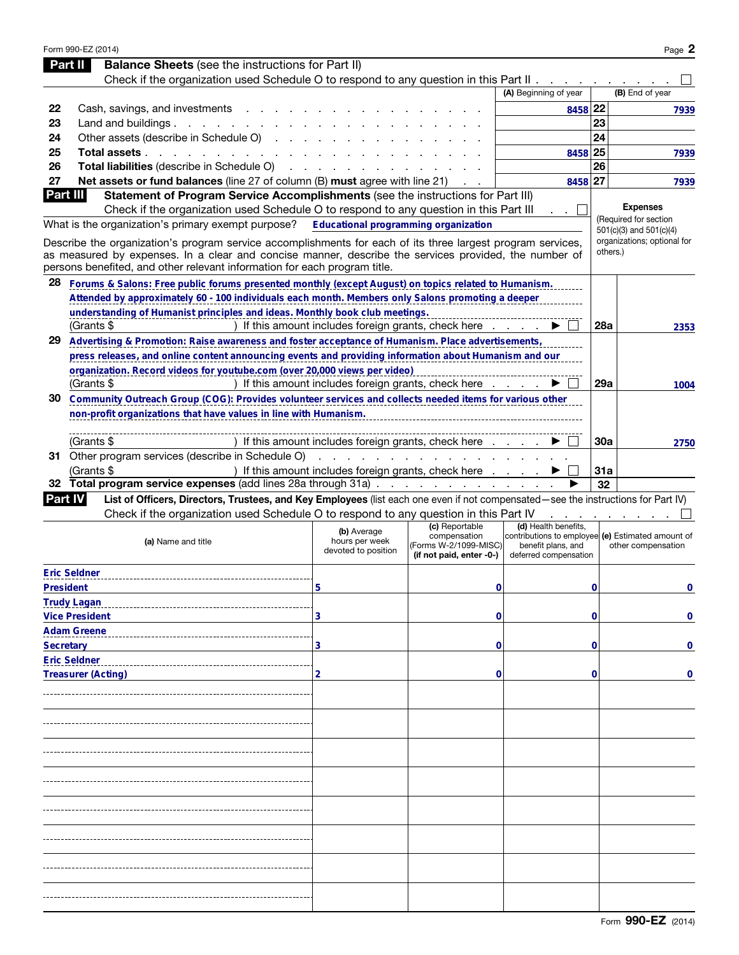|                  | Form 990-EZ (2014)                                                                                                                                                                                                   |                                                      |                                                         |                                            |     | Page 2                                                                  |
|------------------|----------------------------------------------------------------------------------------------------------------------------------------------------------------------------------------------------------------------|------------------------------------------------------|---------------------------------------------------------|--------------------------------------------|-----|-------------------------------------------------------------------------|
|                  | <b>Balance Sheets</b> (see the instructions for Part II)<br>Part II                                                                                                                                                  |                                                      |                                                         |                                            |     |                                                                         |
|                  | Check if the organization used Schedule O to respond to any question in this Part II                                                                                                                                 |                                                      |                                                         | (A) Beginning of year                      |     | (B) End of year                                                         |
| 22               | Cash, savings, and investments                                                                                                                                                                                       |                                                      |                                                         | 8458 22                                    |     |                                                                         |
| 23               | Land and buildings. $\ldots$                                                                                                                                                                                         |                                                      |                                                         |                                            | 23  | 7939                                                                    |
| 24               | Other assets (describe in Schedule O)                                                                                                                                                                                |                                                      |                                                         |                                            | 24  |                                                                         |
| 25               | Total assets                                                                                                                                                                                                         |                                                      |                                                         | 8458 25                                    |     | 7939                                                                    |
| 26               | Total liabilities (describe in Schedule O)                                                                                                                                                                           |                                                      |                                                         |                                            | 26  |                                                                         |
| 27               | Net assets or fund balances (line 27 of column (B) must agree with line 21)                                                                                                                                          |                                                      |                                                         | 8458 27                                    |     |                                                                         |
| Part III         | Statement of Program Service Accomplishments (see the instructions for Part III)                                                                                                                                     |                                                      |                                                         |                                            |     | 7939                                                                    |
|                  | Check if the organization used Schedule O to respond to any question in this Part III                                                                                                                                |                                                      |                                                         |                                            |     | <b>Expenses</b>                                                         |
|                  | What is the organization's primary exempt purpose?                                                                                                                                                                   | <b>Educational programming organization</b>          |                                                         |                                            |     | (Required for section                                                   |
|                  |                                                                                                                                                                                                                      |                                                      |                                                         |                                            |     | $501(c)(3)$ and $501(c)(4)$                                             |
|                  | Describe the organization's program service accomplishments for each of its three largest program services,<br>as measured by expenses. In a clear and concise manner, describe the services provided, the number of |                                                      |                                                         |                                            |     | organizations; optional for<br>others.)                                 |
|                  | persons benefited, and other relevant information for each program title.                                                                                                                                            |                                                      |                                                         |                                            |     |                                                                         |
| 28               | Forums & Salons: Free public forums presented monthly (except August) on topics related to Humanism.                                                                                                                 |                                                      |                                                         |                                            |     |                                                                         |
|                  | Attended by approximately 60 - 100 individuals each month. Members only Salons promoting a deeper                                                                                                                    |                                                      |                                                         |                                            |     |                                                                         |
|                  | understanding of Humanist principles and ideas. Monthly book club meetings.                                                                                                                                          |                                                      |                                                         |                                            |     |                                                                         |
|                  | (Grants \$                                                                                                                                                                                                           | If this amount includes foreign grants, check here   |                                                         |                                            | 28a | 2353                                                                    |
| 29               | Advertising & Promotion: Raise awareness and foster acceptance of Humanism. Place advertisements,                                                                                                                    |                                                      |                                                         |                                            |     |                                                                         |
|                  | press releases, and online content announcing events and providing information about Humanism and our                                                                                                                |                                                      |                                                         |                                            |     |                                                                         |
|                  | organization. Record videos for youtube.com (over 20,000 views per video)                                                                                                                                            |                                                      |                                                         |                                            |     |                                                                         |
|                  | (Grants \$                                                                                                                                                                                                           | If this amount includes foreign grants, check here   |                                                         |                                            | 29a | 1004                                                                    |
| 30               | Community Outreach Group (COG): Provides volunteer services and collects needed items for various other                                                                                                              |                                                      |                                                         |                                            |     |                                                                         |
|                  | non-profit organizations that have values in line with Humanism.                                                                                                                                                     |                                                      |                                                         |                                            |     |                                                                         |
|                  |                                                                                                                                                                                                                      |                                                      |                                                         |                                            |     |                                                                         |
|                  | (Grants \$                                                                                                                                                                                                           | If this amount includes foreign grants, check here   |                                                         |                                            | 30a | 2750                                                                    |
|                  | 31 Other program services (describe in Schedule O)                                                                                                                                                                   | and a contract of the contract of the                |                                                         |                                            |     |                                                                         |
|                  | (Grants \$                                                                                                                                                                                                           | If this amount includes foreign grants, check here   |                                                         |                                            | 31a |                                                                         |
| 32               | Total program service expenses (add lines 28a through 31a)                                                                                                                                                           |                                                      |                                                         |                                            | 32  |                                                                         |
| <b>Part IV</b>   | List of Officers, Directors, Trustees, and Key Employees (list each one even if not compensated—see the instructions for Part IV)                                                                                    |                                                      |                                                         |                                            |     |                                                                         |
|                  | Check if the organization used Schedule O to respond to any question in this Part IV                                                                                                                                 |                                                      |                                                         |                                            |     |                                                                         |
|                  | (a) Name and title                                                                                                                                                                                                   | (b) Average<br>hours per week<br>devoted to position | (c) Reportable<br>compensation<br>(Forms W-2/1099-MISC) | (d) Health benefits,<br>benefit plans, and |     | contributions to employee (e) Estimated amount of<br>other compensation |
|                  |                                                                                                                                                                                                                      |                                                      | (if not paid, enter -0-)                                | deferred compensation                      |     |                                                                         |
|                  | <b>Eric Seldner</b>                                                                                                                                                                                                  |                                                      |                                                         |                                            |     |                                                                         |
| <b>President</b> |                                                                                                                                                                                                                      | 5                                                    | 0                                                       |                                            | 0   | 0                                                                       |
|                  | <b>Trudy Lagan</b>                                                                                                                                                                                                   |                                                      |                                                         |                                            |     |                                                                         |
|                  | <b>Vice President</b>                                                                                                                                                                                                | 3                                                    | 0                                                       |                                            | 0   | 0                                                                       |
|                  | <b>Adam Greene</b>                                                                                                                                                                                                   |                                                      |                                                         |                                            |     |                                                                         |
| <b>Secretary</b> |                                                                                                                                                                                                                      | 3                                                    | 0                                                       |                                            | 0   | 0                                                                       |
|                  | <b>Eric Seldner</b>                                                                                                                                                                                                  |                                                      |                                                         |                                            |     |                                                                         |
|                  | <b>Treasurer (Acting)</b>                                                                                                                                                                                            | 2                                                    | 0                                                       |                                            | 0   | 0                                                                       |
|                  |                                                                                                                                                                                                                      |                                                      |                                                         |                                            |     |                                                                         |
|                  |                                                                                                                                                                                                                      |                                                      |                                                         |                                            |     |                                                                         |
|                  |                                                                                                                                                                                                                      |                                                      |                                                         |                                            |     |                                                                         |
|                  |                                                                                                                                                                                                                      |                                                      |                                                         |                                            |     |                                                                         |
|                  |                                                                                                                                                                                                                      |                                                      |                                                         |                                            |     |                                                                         |
|                  |                                                                                                                                                                                                                      |                                                      |                                                         |                                            |     |                                                                         |
|                  |                                                                                                                                                                                                                      |                                                      |                                                         |                                            |     |                                                                         |
|                  |                                                                                                                                                                                                                      |                                                      |                                                         |                                            |     |                                                                         |
|                  |                                                                                                                                                                                                                      |                                                      |                                                         |                                            |     |                                                                         |
|                  |                                                                                                                                                                                                                      |                                                      |                                                         |                                            |     |                                                                         |
|                  |                                                                                                                                                                                                                      |                                                      |                                                         |                                            |     |                                                                         |
|                  |                                                                                                                                                                                                                      |                                                      |                                                         |                                            |     |                                                                         |
|                  |                                                                                                                                                                                                                      |                                                      |                                                         |                                            |     |                                                                         |
|                  |                                                                                                                                                                                                                      |                                                      |                                                         |                                            |     |                                                                         |
|                  |                                                                                                                                                                                                                      |                                                      |                                                         |                                            |     |                                                                         |
|                  |                                                                                                                                                                                                                      |                                                      |                                                         |                                            |     |                                                                         |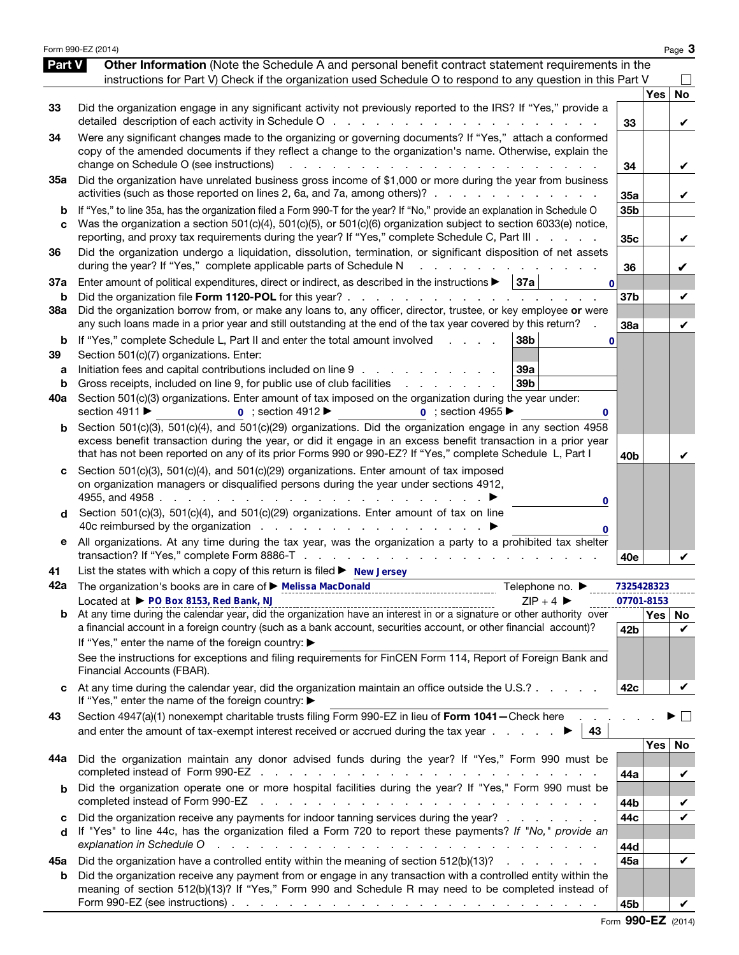|                          | Form 990-EZ (2014)                                                                                                                                                                                                                                                                                                                                                                                                                                                                                                           |                                    |            | Page 3         |
|--------------------------|------------------------------------------------------------------------------------------------------------------------------------------------------------------------------------------------------------------------------------------------------------------------------------------------------------------------------------------------------------------------------------------------------------------------------------------------------------------------------------------------------------------------------|------------------------------------|------------|----------------|
| Part V                   | Other Information (Note the Schedule A and personal benefit contract statement requirements in the<br>instructions for Part V) Check if the organization used Schedule O to respond to any question in this Part V                                                                                                                                                                                                                                                                                                           |                                    |            |                |
| 33                       | Did the organization engage in any significant activity not previously reported to the IRS? If "Yes," provide a<br>detailed description of each activity in Schedule O<br>and the company of the company of                                                                                                                                                                                                                                                                                                                  | 33                                 | <b>Yes</b> | <b>No</b><br>V |
| 34                       | Were any significant changes made to the organizing or governing documents? If "Yes," attach a conformed<br>copy of the amended documents if they reflect a change to the organization's name. Otherwise, explain the<br>change on Schedule O (see instructions)                                                                                                                                                                                                                                                             | 34                                 |            | V              |
| 35a                      | Did the organization have unrelated business gross income of \$1,000 or more during the year from business<br>activities (such as those reported on lines 2, 6a, and 7a, among others)?                                                                                                                                                                                                                                                                                                                                      | 35a                                |            | V              |
| b<br>C                   | If "Yes," to line 35a, has the organization filed a Form 990-T for the year? If "No," provide an explanation in Schedule O<br>Was the organization a section 501(c)(4), 501(c)(5), or 501(c)(6) organization subject to section 6033(e) notice,<br>reporting, and proxy tax requirements during the year? If "Yes," complete Schedule C, Part III                                                                                                                                                                            | 35 <sub>b</sub><br>35 <sub>c</sub> |            | V              |
| 36                       | Did the organization undergo a liquidation, dissolution, termination, or significant disposition of net assets<br>during the year? If "Yes," complete applicable parts of Schedule N                                                                                                                                                                                                                                                                                                                                         | 36                                 |            | V              |
| 37a<br>b                 | Enter amount of political expenditures, direct or indirect, as described in the instructions $\blacktriangleright$   37a<br>$\mathbf{0}$<br>Did the organization file Form 1120-POL for this year?<br><b>Service</b> State                                                                                                                                                                                                                                                                                                   | 37 <sub>b</sub>                    |            | V              |
| 38a                      | Did the organization borrow from, or make any loans to, any officer, director, trustee, or key employee or were<br>any such loans made in a prior year and still outstanding at the end of the tax year covered by this return?                                                                                                                                                                                                                                                                                              | 38a                                |            | V              |
| b<br>39<br>а<br>b<br>40a | If "Yes," complete Schedule L, Part II and enter the total amount involved<br>38 <sub>b</sub><br>0<br>Section 501(c)(7) organizations. Enter:<br>Initiation fees and capital contributions included on line 9<br>39a<br>Gross receipts, included on line 9, for public use of club facilities<br>39b<br>and a series and<br>Section 501(c)(3) organizations. Enter amount of tax imposed on the organization during the year under:<br>section 4911 ▶<br>$\overline{0}$ ; section 4912<br>$\overline{0}$ : section 4955<br>0 |                                    |            |                |
| b                        | Section 501(c)(3), 501(c)(4), and 501(c)(29) organizations. Did the organization engage in any section 4958<br>excess benefit transaction during the year, or did it engage in an excess benefit transaction in a prior year<br>that has not been reported on any of its prior Forms 990 or 990-EZ? If "Yes," complete Schedule L, Part I                                                                                                                                                                                    | 40b                                |            | V              |
| C<br>d                   | Section 501(c)(3), 501(c)(4), and 501(c)(29) organizations. Enter amount of tax imposed<br>on organization managers or disqualified persons during the year under sections 4912,<br>4955, and 4958<br>the company of the company of the<br>0<br>Section 501(c)(3), 501(c)(4), and 501(c)(29) organizations. Enter amount of tax on line<br>0                                                                                                                                                                                 |                                    |            |                |
| е                        | All organizations. At any time during the tax year, was the organization a party to a prohibited tax shelter                                                                                                                                                                                                                                                                                                                                                                                                                 | 40e                                |            |                |
| 41<br>42a                | List the states with which a copy of this return is filed $\blacktriangleright$ New Jersey<br>The organization's books are in care of ▶ Melissa MacDonald<br>Telephone no. ▶                                                                                                                                                                                                                                                                                                                                                 |                                    | 7325428323 |                |
|                          | Located at ▶ PO Box 8153, Red Bank, NJ<br>$ZIP + 4$<br>$\frac{L}{L}$ $\frac{L}{L}$ $\frac{L}{L}$ $\frac{L}{L}$ $\frac{L}{L}$ $\frac{L}{L}$ $\frac{L}{L}$ $\frac{L}{L}$ $\frac{L}{L}$ $\frac{L}{L}$ $\frac{L}{L}$ $\frac{L}{L}$ $\frac{L}{L}$ $\frac{L}{L}$ $\frac{L}{L}$ $\frac{L}{L}$ $\frac{L}{L}$ $\frac{L}{L}$ $\frac{L}{L}$ $\frac{L}{L}$ $\frac{L}{L}$ $\frac{L}{L}$                                                                                                                                                   |                                    | 07701-8153 | Yes   No       |
|                          | a financial account in a foreign country (such as a bank account, securities account, or other financial account)?<br>If "Yes," enter the name of the foreign country: ▶<br>See the instructions for exceptions and filing requirements for FinCEN Form 114, Report of Foreign Bank and                                                                                                                                                                                                                                      | 42b                                |            | V              |
|                          | Financial Accounts (FBAR).<br>At any time during the calendar year, did the organization maintain an office outside the U.S.?                                                                                                                                                                                                                                                                                                                                                                                                | 42c                                |            | V              |
| 43                       | If "Yes," enter the name of the foreign country: ▶<br>Section 4947(a)(1) nonexempt charitable trusts filing Form 990-EZ in lieu of Form 1041-Check here<br>and enter the amount of tax-exempt interest received or accrued during the tax year $\ldots$ .<br>43                                                                                                                                                                                                                                                              |                                    |            | $\sim$         |
| 44a                      | Did the organization maintain any donor advised funds during the year? If "Yes," Form 990 must be                                                                                                                                                                                                                                                                                                                                                                                                                            |                                    | <b>Yes</b> | No             |
| b                        | Did the organization operate one or more hospital facilities during the year? If "Yes," Form 990 must be<br>completed instead of Form 990-EZ                                                                                                                                                                                                                                                                                                                                                                                 | 44a<br>44b                         |            | V<br>V         |
| c<br>d                   | Did the organization receive any payments for indoor tanning services during the year?<br>If "Yes" to line 44c, has the organization filed a Form 720 to report these payments? If "No," provide an<br>explanation in Schedule O<br>والمتعاون والمتعاون والمتعاون والمتعاون والمتعاونة والمتعاونة والمتعاونة والمتعاونة والمتعاونة                                                                                                                                                                                           | 44c<br>44d                         |            | V              |
| 45а                      | Did the organization have a controlled entity within the meaning of section 512(b)(13)?                                                                                                                                                                                                                                                                                                                                                                                                                                      | 45a                                |            | V              |
| b                        | Did the organization receive any payment from or engage in any transaction with a controlled entity within the<br>meaning of section 512(b)(13)? If "Yes," Form 990 and Schedule R may need to be completed instead of<br>Form 990-EZ (see instructions) $\ldots$ $\ldots$ $\ldots$ $\ldots$ $\ldots$ $\ldots$ $\ldots$ $\ldots$ $\ldots$ $\ldots$ $\ldots$                                                                                                                                                                  | 45b                                |            |                |

Form 990-EZ (2014)